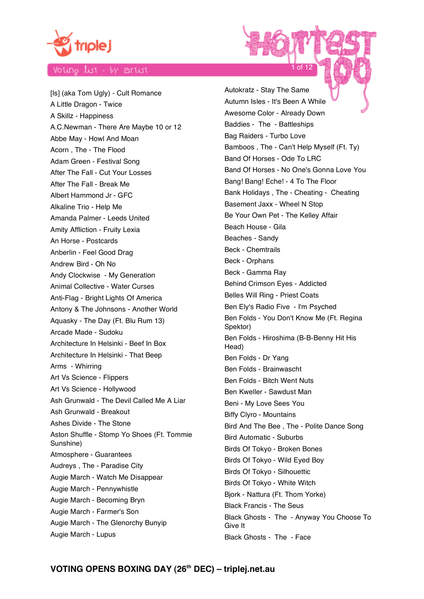

[Is] (aka Tom Ugly) - Cult Romance A Little Dragon - Twice A Skillz - Happiness A.C.Newman - There Are Maybe 10 or 12 Abbe May - Howl And Moan Acorn , The - The Flood Adam Green - Festival Song After The Fall - Cut Your Losses After The Fall - Break Me Albert Hammond Jr - GFC Alkaline Trio - Help Me Amanda Palmer - Leeds United Amity Affliction - Fruity Lexia An Horse - Postcards Anberlin - Feel Good Drag Andrew Bird - Oh No Andy Clockwise - My Generation Animal Collective - Water Curses Anti-Flag - Bright Lights Of America Antony & The Johnsons - Another World Aquasky - The Day (Ft. Blu Rum 13) Arcade Made - Sudoku Architecture In Helsinki - Beef In Box Architecture In Helsinki - That Beep Arms - Whirring Art Vs Science - Flippers Art Vs Science - Hollywood Ash Grunwald - The Devil Called Me A Liar Ash Grunwald - Breakout Ashes Divide - The Stone Aston Shuffle - Stomp Yo Shoes (Ft. Tommie Sunshine) Atmosphere - Guarantees Audreys , The - Paradise City Augie March - Watch Me Disappear Augie March - Pennywhistle Augie March - Becoming Bryn Augie March - Farmer's Son Augie March - The Glenorchy Bunyip Augie March - Lupus

Autokratz - Stay The Same Autumn Isles - It's Been A While Awesome Color - Already Down Baddies - The - Battleships Bag Raiders - Turbo Love Bamboos , The - Can't Help Myself (Ft. Ty) Band Of Horses - Ode To LRC Band Of Horses - No One's Gonna Love You Bang! Bang! Eche! - 4 To The Floor Bank Holidays , The - Cheating - Cheating Basement Jaxx - Wheel N Stop Be Your Own Pet - The Kelley Affair Beach House - Gila Beaches - Sandy Beck - Chemtrails Beck - Orphans Beck - Gamma Ray Behind Crimson Eyes - Addicted Belles Will Ring - Priest Coats Ben Ely's Radio Five - I'm Psyched Ben Folds - You Don't Know Me (Ft. Regina Spektor) Ben Folds - Hiroshima (B-B-Benny Hit His Head) Ben Folds - Dr Yang Ben Folds - Brainwascht Ben Folds - Bitch Went Nuts Ben Kweller - Sawdust Man Beni - My Love Sees You Biffy Clyro - Mountains Bird And The Bee , The - Polite Dance Song Bird Automatic - Suburbs Birds Of Tokyo - Broken Bones Birds Of Tokyo - Wild Eyed Boy Birds Of Tokyo - Silhouettic Birds Of Tokyo - White Witch Bjork - Nattura (Ft. Thom Yorke) Black Francis - The Seus Black Ghosts - The - Anyway You Choose To Give It Black Ghosts - The - Face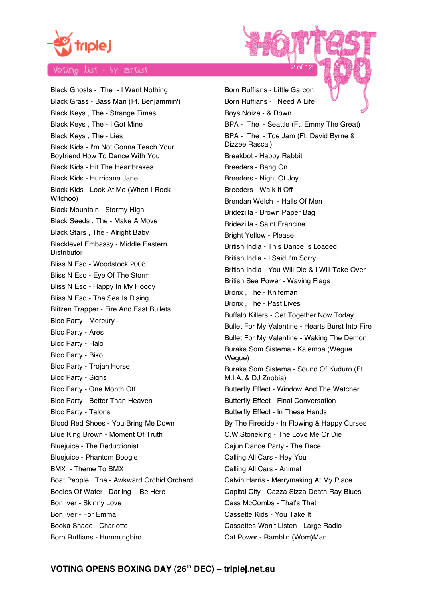

Black Ghosts - The - I Want Nothing Black Grass - Bass Man (Ft. Benjammin') Black Keys , The - Strange Times Black Keys , The - I Got Mine Black Keys , The - Lies Black Kids - I'm Not Gonna Teach Your Boyfriend How To Dance With You Black Kids - Hit The Heartbrakes Black Kids - Hurricane Jane Black Kids - Look At Me (When I Rock Witchoo) Black Mountain - Stormy High Black Seeds , The - Make A Move Black Stars , The - Alright Baby Blacklevel Embassy - Middle Eastern **Distributor** Bliss N Eso - Woodstock 2008 Bliss N Eso - Eye Of The Storm Bliss N Eso - Happy In My Hoody Bliss N Eso - The Sea Is Rising Blitzen Trapper - Fire And Fast Bullets Bloc Party - Mercury Bloc Party - Ares Bloc Party - Halo Bloc Party - Biko Bloc Party - Trojan Horse Bloc Party - Signs Bloc Party - One Month Off Bloc Party - Better Than Heaven Bloc Party - Talons Blood Red Shoes - You Bring Me Down Blue King Brown - Moment Of Truth Bluejuice - The Reductionist Bluejuice - Phantom Boogie BMX - Theme To BMX Boat People , The - Awkward Orchid Orchard Bodies Of Water - Darling - Be Here Bon Iver - Skinny Love Bon Iver - For Emma Booka Shade - Charlotte Born Ruffians - Hummingbird

Born Ruffians - Little Garcon Born Ruffians - I Need A Life Boys Noize - & Down BPA - The - Seattle (Ft. Emmy The Great) BPA - The - Toe Jam (Ft. David Byrne & Dizzee Rascal) Breakbot - Happy Rabbit Breeders - Bang On Breeders - Night Of Joy Breeders - Walk It Off Brendan Welch - Halls Of Men Bridezilla - Brown Paper Bag Bridezilla - Saint Francine Bright Yellow - Please British India - This Dance Is Loaded British India - I Said I'm Sorry British India - You Will Die & I Will Take Over British Sea Power - Waving Flags Bronx , The - Knifeman Bronx , The - Past Lives Buffalo Killers - Get Together Now Today Bullet For My Valentine - Hearts Burst Into Fire Bullet For My Valentine - Waking The Demon Buraka Som Sistema - Kalemba (Wegue Wegue) Buraka Som Sistema - Sound Of Kuduro (Ft. M.I.A. & DJ Znobia) Butterfly Effect - Window And The Watcher Butterfly Effect - Final Conversation Butterfly Effect - In These Hands By The Fireside - In Flowing & Happy Curses C.W.Stoneking - The Love Me Or Die Cajun Dance Party - The Race Calling All Cars - Hey You Calling All Cars - Animal Calvin Harris - Merrymaking At My Place Capital City - Cazza Sizza Death Ray Blues Cass McCombs - That's That Cassette Kids - You Take It Cassettes Won't Listen - Large Radio Cat Power - Ramblin (Wom)Man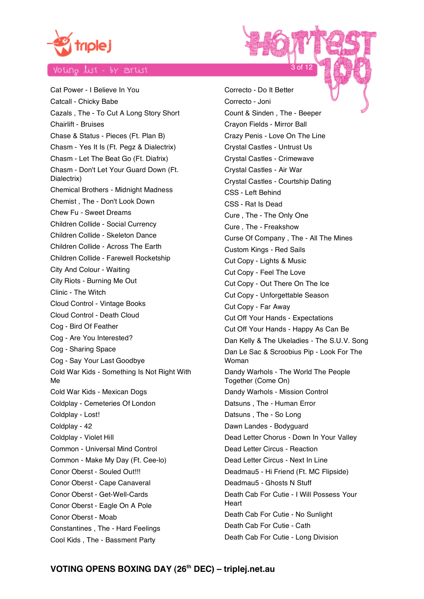

Cat Power - I Believe In You Catcall - Chicky Babe Cazals , The - To Cut A Long Story Short Chairlift - Bruises Chase & Status - Pieces (Ft. Plan B) Chasm - Yes It Is (Ft. Pegz & Dialectrix) Chasm - Let The Beat Go (Ft. Diafrix) Chasm - Don't Let Your Guard Down (Ft. Dialectrix) Chemical Brothers - Midnight Madness Chemist , The - Don't Look Down Chew Fu - Sweet Dreams Children Collide - Social Currency Children Collide - Skeleton Dance Children Collide - Across The Earth Children Collide - Farewell Rocketship City And Colour - Waiting City Riots - Burning Me Out Clinic - The Witch Cloud Control - Vintage Books Cloud Control - Death Cloud Cog - Bird Of Feather Cog - Are You Interested? Cog - Sharing Space Cog - Say Your Last Goodbye Cold War Kids - Something Is Not Right With Me Cold War Kids - Mexican Dogs Coldplay - Cemeteries Of London Coldplay - Lost! Coldplay - 42 Coldplay - Violet Hill Common - Universal Mind Control Common - Make My Day (Ft. Cee-lo) Conor Oberst - Souled Out!!! Conor Oberst - Cape Canaveral Conor Oberst - Get-Well-Cards Conor Oberst - Eagle On A Pole Conor Oberst - Moab Constantines , The - Hard Feelings Cool Kids , The - Bassment Party

Correcto - Do It Better Correcto - Joni Count & Sinden , The - Beeper Crayon Fields - Mirror Ball Crazy Penis - Love On The Line Crystal Castles - Untrust Us Crystal Castles - Crimewave Crystal Castles - Air War Crystal Castles - Courtship Dating CSS - Left Behind CSS - Rat Is Dead Cure , The - The Only One Cure , The - Freakshow Curse Of Company , The - All The Mines Custom Kings - Red Sails Cut Copy - Lights & Music Cut Copy - Feel The Love Cut Copy - Out There On The Ice Cut Copy - Unforgettable Season Cut Copy - Far Away Cut Off Your Hands - Expectations Cut Off Your Hands - Happy As Can Be Dan Kelly & The Ukeladies - The S.U.V. Song Dan Le Sac & Scroobius Pip - Look For The Woman Dandy Warhols - The World The People Together (Come On) Dandy Warhols - Mission Control Datsuns , The - Human Error Datsuns , The - So Long Dawn Landes - Bodyguard Dead Letter Chorus - Down In Your Valley Dead Letter Circus - Reaction Dead Letter Circus - Next In Line Deadmau5 - Hi Friend (Ft. MC Flipside) Deadmau5 - Ghosts N Stuff Death Cab For Cutie - I Will Possess Your **Heart** Death Cab For Cutie - No Sunlight Death Cab For Cutie - Cath Death Cab For Cutie - Long Division

3 of 12

# VOTING OPENS BOXING DAY (26<sup>th</sup> DEC) - triplej.net.au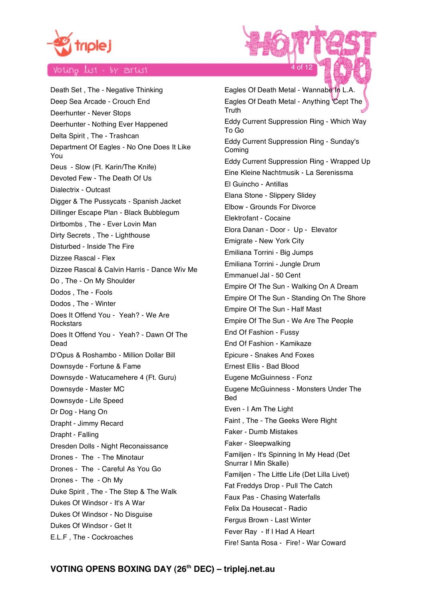

Death Set , The - Negative Thinking Deep Sea Arcade - Crouch End Deerhunter - Never Stops Deerhunter - Nothing Ever Happened Delta Spirit , The - Trashcan Department Of Eagles - No One Does It Like You Deus - Slow (Ft. Karin/The Knife) Devoted Few - The Death Of Us Dialectrix - Outcast Digger & The Pussycats - Spanish Jacket Dillinger Escape Plan - Black Bubblegum Dirtbombs , The - Ever Lovin Man Dirty Secrets , The - Lighthouse Disturbed - Inside The Fire Dizzee Rascal - Flex Dizzee Rascal & Calvin Harris - Dance Wiv Me Do , The - On My Shoulder Dodos , The - Fools Dodos , The - Winter Does It Offend You - Yeah? - We Are **Rockstars** Does It Offend You - Yeah? - Dawn Of The Dead D'Opus & Roshambo - Million Dollar Bill Downsyde - Fortune & Fame Downsyde - Watucamehere 4 (Ft. Guru) Downsyde - Master MC Downsyde - Life Speed Dr Dog - Hang On Drapht - Jimmy Recard Drapht - Falling Dresden Dolls - Night Reconaissance Drones - The - The Minotaur Drones - The - Careful As You Go Drones - The - Oh My Duke Spirit , The - The Step & The Walk Dukes Of Windsor - It's A War Dukes Of Windsor - No Disguise Dukes Of Windsor - Get It E.L.F , The - Cockroaches

Eagles Of Death Metal - Wannabe In L.A. Eagles Of Death Metal - Anything 'Cept The Truth Eddy Current Suppression Ring - Which Way To Go Eddy Current Suppression Ring - Sunday's Coming Eddy Current Suppression Ring - Wrapped Up Eine Kleine Nachtmusik - La Serenissma El Guincho - Antillas Elana Stone - Slippery Slidey Elbow - Grounds For Divorce Elektrofant - Cocaine Elora Danan - Door - Up - Elevator Emigrate - New York City Emiliana Torrini - Big Jumps Emiliana Torrini - Jungle Drum Emmanuel Jal - 50 Cent Empire Of The Sun - Walking On A Dream Empire Of The Sun - Standing On The Shore Empire Of The Sun - Half Mast Empire Of The Sun - We Are The People End Of Fashion - Fussy End Of Fashion - Kamikaze Epicure - Snakes And Foxes Ernest Ellis - Bad Blood Eugene McGuinness - Fonz Eugene McGuinness - Monsters Under The **Bed** Even - I Am The Light Faint , The - The Geeks Were Right Faker - Dumb Mistakes Faker - Sleepwalking Familjen - It's Spinning In My Head (Det Snurrar I Min Skalle) Familjen - The Little Life (Det Lilla Livet) Fat Freddys Drop - Pull The Catch Faux Pas - Chasing Waterfalls Felix Da Housecat - Radio Fergus Brown - Last Winter Fever Ray - If I Had A Heart Fire! Santa Rosa - Fire! - War Coward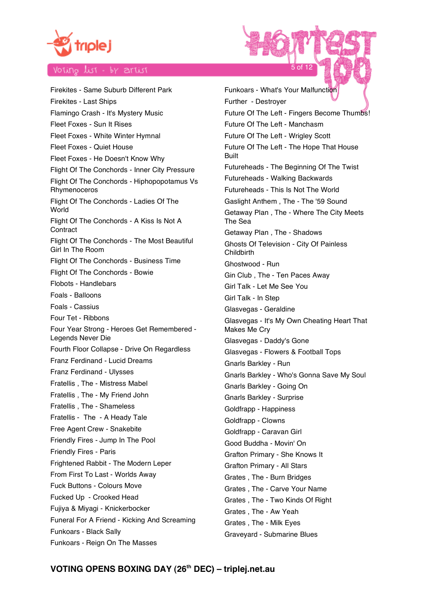

Firekites - Same Suburb Different Park Firekites - Last Ships Flamingo Crash - It's Mystery Music Fleet Foxes - Sun It Rises Fleet Foxes - White Winter Hymnal Fleet Foxes - Quiet House Fleet Foxes - He Doesn't Know Why Flight Of The Conchords - Inner City Pressure Flight Of The Conchords - Hiphopopotamus Vs Rhymenoceros Flight Of The Conchords - Ladies Of The **World** Flight Of The Conchords - A Kiss Is Not A **Contract** Flight Of The Conchords - The Most Beautiful Girl In The Room Flight Of The Conchords - Business Time Flight Of The Conchords - Bowie Flobots - Handlebars Foals - Balloons Foals - Cassius Four Tet - Ribbons Four Year Strong - Heroes Get Remembered - Legends Never Die Fourth Floor Collapse - Drive On Regardless Franz Ferdinand - Lucid Dreams Franz Ferdinand - Ulysses Fratellis , The - Mistress Mabel Fratellis , The - My Friend John Fratellis , The - Shameless Fratellis - The - A Heady Tale Free Agent Crew - Snakebite Friendly Fires - Jump In The Pool Friendly Fires - Paris Frightened Rabbit - The Modern Leper From First To Last - Worlds Away Fuck Buttons - Colours Move Fucked Up - Crooked Head Fujiya & Miyagi - Knickerbocker Funeral For A Friend - Kicking And Screaming Funkoars - Black Sally Funkoars - Reign On The Masses

Funkoars - What's Your Malfunction Further - Destroyer Future Of The Left - Fingers Become Thumbs! Future Of The Left - Manchasm Future Of The Left - Wrigley Scott Future Of The Left - The Hope That House **Built** Futureheads - The Beginning Of The Twist Futureheads - Walking Backwards Futureheads - This Is Not The World Gaslight Anthem , The - The '59 Sound Getaway Plan , The - Where The City Meets The Sea Getaway Plan , The - Shadows Ghosts Of Television - City Of Painless Childbirth Ghostwood - Run Gin Club , The - Ten Paces Away Girl Talk - Let Me See You Girl Talk - In Step Glasvegas - Geraldine Glasvegas - It's My Own Cheating Heart That Makes Me Cry Glasvegas - Daddy's Gone Glasvegas - Flowers & Football Tops Gnarls Barkley - Run Gnarls Barkley - Who's Gonna Save My Soul Gnarls Barkley - Going On Gnarls Barkley - Surprise Goldfrapp - Happiness Goldfrapp - Clowns Goldfrapp - Caravan Girl Good Buddha - Movin' On Grafton Primary - She Knows It Grafton Primary - All Stars Grates , The - Burn Bridges Grates , The - Carve Your Name Grates , The - Two Kinds Of Right Grates , The - Aw Yeah Grates , The - Milk Eyes Graveyard - Submarine Blues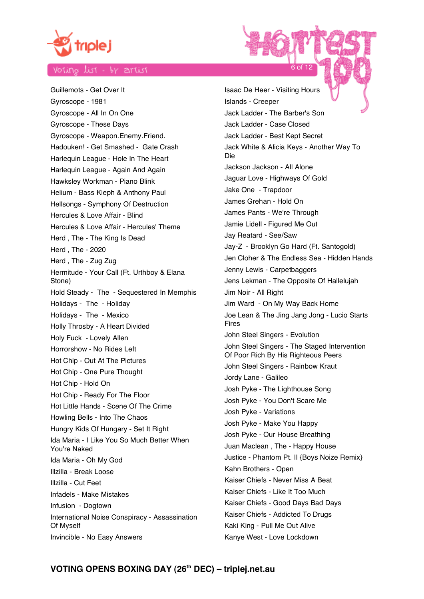

Guillemots - Get Over It Gyroscope - 1981 Gyroscope - All In On One Gyroscope - These Days Gyroscope - Weapon.Enemy.Friend. Hadouken! - Get Smashed - Gate Crash Harlequin League - Hole In The Heart Harlequin League - Again And Again Hawksley Workman - Piano Blink Helium - Bass Kleph & Anthony Paul Hellsongs - Symphony Of Destruction Hercules & Love Affair - Blind Hercules & Love Affair - Hercules' Theme Herd , The - The King Is Dead Herd , The - 2020 Herd , The - Zug Zug Hermitude - Your Call (Ft. Urthboy & Elana Stone) Hold Steady - The - Sequestered In Memphis Holidays - The - Holiday Holidays - The - Mexico Holly Throsby - A Heart Divided Holy Fuck - Lovely Allen Horrorshow - No Rides Left Hot Chip - Out At The Pictures Hot Chip - One Pure Thought Hot Chip - Hold On Hot Chip - Ready For The Floor Hot Little Hands - Scene Of The Crime Howling Bells - Into The Chaos Hungry Kids Of Hungary - Set It Right Ida Maria - I Like You So Much Better When You're Naked Ida Maria - Oh My God Illzilla - Break Loose Illzilla - Cut Feet Infadels - Make Mistakes Infusion - Dogtown International Noise Conspiracy - Assassination Of Myself Invincible - No Easy Answers

Isaac De Heer - Visiting Hours Islands - Creeper Jack Ladder - The Barber's Son Jack Ladder - Case Closed Jack Ladder - Best Kept Secret Jack White & Alicia Keys - Another Way To Die Jackson Jackson - All Alone Jaguar Love - Highways Of Gold Jake One - Trapdoor James Grehan - Hold On James Pants - We're Through Jamie Lidell - Figured Me Out Jay Reatard - See/Saw Jay-Z - Brooklyn Go Hard (Ft. Santogold) Jen Cloher & The Endless Sea - Hidden Hands Jenny Lewis - Carpetbaggers Jens Lekman - The Opposite Of Hallelujah Jim Noir - All Right Jim Ward - On My Way Back Home Joe Lean & The Jing Jang Jong - Lucio Starts Fires John Steel Singers - Evolution John Steel Singers - The Staged Intervention Of Poor Rich By His Righteous Peers John Steel Singers - Rainbow Kraut Jordy Lane - Galileo Josh Pyke - The Lighthouse Song Josh Pyke - You Don't Scare Me Josh Pyke - Variations Josh Pyke - Make You Happy Josh Pyke - Our House Breathing Juan Maclean , The - Happy House Justice - Phantom Pt. II {Boys Noize Remix} Kahn Brothers - Open Kaiser Chiefs - Never Miss A Beat Kaiser Chiefs - Like It Too Much Kaiser Chiefs - Good Days Bad Days Kaiser Chiefs - Addicted To Drugs Kaki King - Pull Me Out Alive Kanye West - Love Lockdown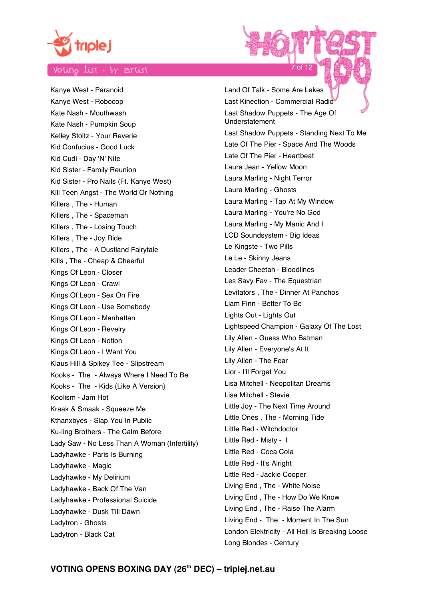

Kanye West - Paranoid Kanye West - Robocop Kate Nash - Mouthwash Kate Nash - Pumpkin Soup Kelley Stoltz - Your Reverie Kid Confucius - Good Luck Kid Cudi - Day 'N' Nite Kid Sister - Family Reunion Kid Sister - Pro Nails (Ft. Kanye West) Kill Teen Angst - The World Or Nothing Killers , The - Human Killers , The - Spaceman Killers , The - Losing Touch Killers , The - Joy Ride Killers , The - A Dustland Fairytale Kills , The - Cheap & Cheerful Kings Of Leon - Closer Kings Of Leon - Crawl Kings Of Leon - Sex On Fire Kings Of Leon - Use Somebody Kings Of Leon - Manhattan Kings Of Leon - Revelry Kings Of Leon - Notion Kings Of Leon - I Want You Klaus Hill & Spikey Tee - Slipstream Kooks - The - Always Where I Need To Be Kooks - The - Kids {Like A Version} Koolism - Jam Hot Kraak & Smaak - Squeeze Me Kthanxbyes - Slap You In Public Ku-ling Brothers - The Calm Before Lady Saw - No Less Than A Woman (Infertility) Ladyhawke - Paris Is Burning Ladyhawke - Magic Ladyhawke - My Delirium Ladyhawke - Back Of The Van Ladyhawke - Professional Suicide Ladyhawke - Dusk Till Dawn Ladytron - Ghosts Ladytron - Black Cat

Land Of Talk - Some Are Lakes Last Kinection - Commercial Radio Last Shadow Puppets - The Age Of Understatement Last Shadow Puppets - Standing Next To Me Late Of The Pier - Space And The Woods Late Of The Pier - Heartbeat Laura Jean - Yellow Moon Laura Marling - Night Terror Laura Marling - Ghosts Laura Marling - Tap At My Window Laura Marling - You're No God Laura Marling - My Manic And I LCD Soundsystem - Big Ideas Le Kingste - Two Pills Le Le - Skinny Jeans Leader Cheetah - Bloodlines Les Savy Fav - The Equestrian Levitators , The - Dinner At Panchos Liam Finn - Better To Be Lights Out - Lights Out Lightspeed Champion - Galaxy Of The Lost Lily Allen - Guess Who Batman Lily Allen - Everyone's At It Lily Allen - The Fear Lior - I'll Forget You Lisa Mitchell - Neopolitan Dreams Lisa Mitchell - Stevie Little Joy - The Next Time Around Little Ones , The - Morning Tide Little Red - Witchdoctor Little Red - Misty - I Little Red - Coca Cola Little Red - It's Alright Little Red - Jackie Cooper Living End , The - White Noise Living End , The - How Do We Know Living End , The - Raise The Alarm Living End - The - Moment In The Sun London Elektricity - All Hell Is Breaking Loose Long Blondes - Century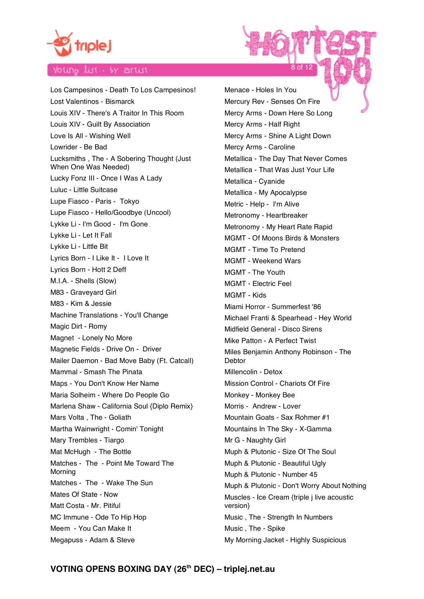

Los Campesinos - Death To Los Campesinos! Lost Valentinos - Bismarck Louis XIV - There's A Traitor In This Room Louis XIV - Guilt By Association Love Is All - Wishing Well Lowrider - Be Bad Lucksmiths , The - A Sobering Thought (Just When One Was Needed) Lucky Fonz III - Once I Was A Lady Luluc - Little Suitcase Lupe Fiasco - Paris - Tokyo Lupe Fiasco - Hello/Goodbye (Uncool) Lykke Li - I'm Good - I'm Gone Lykke Li - Let It Fall Lykke Li - Little Bit Lyrics Born - I Like It - I Love It Lyrics Born - Hott 2 Deff M.I.A. - Shells (Slow) M83 - Graveyard Girl M83 - Kim & Jessie Machine Translations - You'll Change Magic Dirt - Romy Magnet - Lonely No More Magnetic Fields - Drive On - Driver Mailer Daemon - Bad Move Baby (Ft. Catcall) Mammal - Smash The Pinata Maps - You Don't Know Her Name Maria Solheim - Where Do People Go Marlena Shaw - California Soul {Diplo Remix} Mars Volta , The - Goliath Martha Wainwright - Comin' Tonight Mary Trembles - Tiargo Mat McHugh - The Bottle Matches - The - Point Me Toward The Morning Matches - The - Wake The Sun Mates Of State - Now Matt Costa - Mr. Pitiful MC Immune - Ode To Hip Hop Meem - You Can Make It Megapuss - Adam & Steve

Menace - Holes In You Mercury Rev - Senses On Fire Mercy Arms - Down Here So Long Mercy Arms - Half Right Mercy Arms - Shine A Light Down Mercy Arms - Caroline Metallica - The Day That Never Comes Metallica - That Was Just Your Life Metallica - Cyanide Metallica - My Apocalypse Metric - Help - I'm Alive Metronomy - Heartbreaker Metronomy - My Heart Rate Rapid MGMT - Of Moons Birds & Monsters MGMT - Time To Pretend MGMT - Weekend Wars MGMT - The Youth MGMT - Electric Feel MGMT - Kids Miami Horror - Summerfest '86 Michael Franti & Spearhead - Hey World Midfield General - Disco Sirens Mike Patton - A Perfect Twist Miles Benjamin Anthony Robinson - The **Debtor** Millencolin - Detox Mission Control - Chariots Of Fire Monkey - Monkey Bee Morris - Andrew - Lover Mountain Goats - Sax Rohmer #1 Mountains In The Sky - X-Gamma Mr G - Naughty Girl Muph & Plutonic - Size Of The Soul Muph & Plutonic - Beautiful Ugly Muph & Plutonic - Number 45 Muph & Plutonic - Don't Worry About Nothing Muscles - Ice Cream {triple j live acoustic version} Music , The - Strength In Numbers Music , The - Spike My Morning Jacket - Highly Suspicious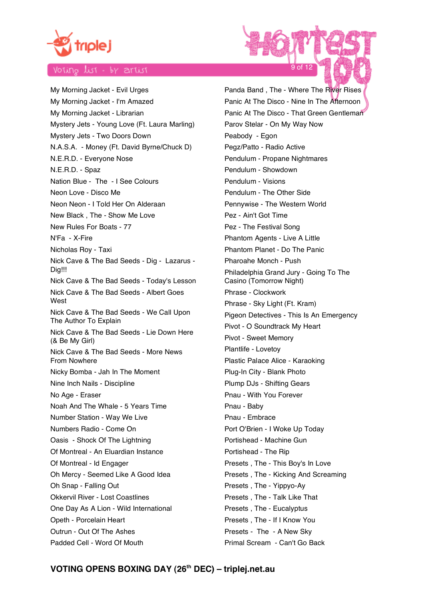

My Morning Jacket - Evil Urges My Morning Jacket - I'm Amazed My Morning Jacket - Librarian Mystery Jets - Young Love (Ft. Laura Marling) Mystery Jets - Two Doors Down N.A.S.A. - Money (Ft. David Byrne/Chuck D) N.E.R.D. - Everyone Nose N.E.R.D. - Spaz Nation Blue - The - I See Colours Neon Love - Disco Me Neon Neon - I Told Her On Alderaan New Black , The - Show Me Love New Rules For Boats - 77 N'Fa - X-Fire Nicholas Roy - Taxi Nick Cave & The Bad Seeds - Dig - Lazarus - Dig!!! Nick Cave & The Bad Seeds - Today's Lesson Nick Cave & The Bad Seeds - Albert Goes **West** Nick Cave & The Bad Seeds - We Call Upon The Author To Explain Nick Cave & The Bad Seeds - Lie Down Here (& Be My Girl) Nick Cave & The Bad Seeds - More News From Nowhere Nicky Bomba - Jah In The Moment Nine Inch Nails - Discipline No Age - Eraser Noah And The Whale - 5 Years Time Number Station - Way We Live Numbers Radio - Come On Oasis - Shock Of The Lightning Of Montreal - An Eluardian Instance Of Montreal - Id Engager Oh Mercy - Seemed Like A Good Idea Oh Snap - Falling Out Okkervil River - Lost Coastlines One Day As A Lion - Wild International Opeth - Porcelain Heart Outrun - Out Of The Ashes Padded Cell - Word Of Mouth

Panda Band , The - Where The River Rises Panic At The Disco - Nine In The Afternoon Panic At The Disco - That Green Gentleman Parov Stelar - On My Way Now Peabody - Egon Pegz/Patto - Radio Active Pendulum - Propane Nightmares Pendulum - Showdown Pendulum - Visions Pendulum - The Other Side Pennywise - The Western World Pez - Ain't Got Time Pez - The Festival Song Phantom Agents - Live A Little Phantom Planet - Do The Panic Pharoahe Monch - Push Philadelphia Grand Jury - Going To The Casino (Tomorrow Night) Phrase - Clockwork Phrase - Sky Light (Ft. Kram) Pigeon Detectives - This Is An Emergency Pivot - O Soundtrack My Heart Pivot - Sweet Memory Plantlife - Lovetoy Plastic Palace Alice - Karaoking Plug-In City - Blank Photo Plump DJs - Shifting Gears Pnau - With You Forever Pnau - Baby Pnau - Embrace Port O'Brien - I Woke Up Today Portishead - Machine Gun Portishead - The Rip Presets , The - This Boy's In Love Presets , The - Kicking And Screaming Presets , The - Yippyo-Ay Presets , The - Talk Like That Presets , The - Eucalyptus Presets , The - If I Know You Presets - The - A New Sky Primal Scream - Can't Go Back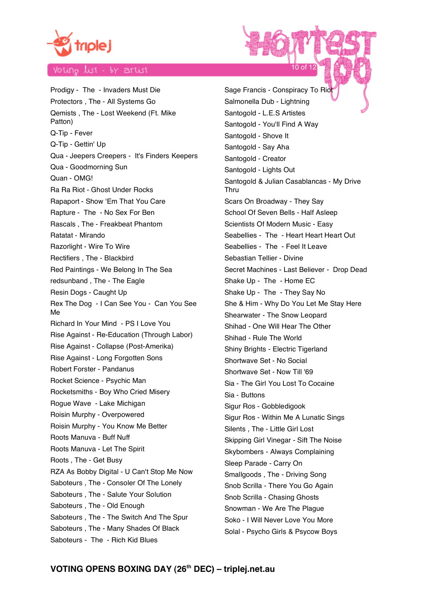

Prodigy - The - Invaders Must Die Protectors , The - All Systems Go Qemists , The - Lost Weekend (Ft. Mike Patton) Q-Tip - Fever Q-Tip - Gettin' Up Qua - Jeepers Creepers - It's Finders Keepers Qua - Goodmorning Sun Quan - OMG! Ra Ra Riot - Ghost Under Rocks Rapaport - Show 'Em That You Care Rapture - The - No Sex For Ben Rascals , The - Freakbeat Phantom Ratatat - Mirando Razorlight - Wire To Wire Rectifiers , The - Blackbird Red Paintings - We Belong In The Sea redsunband , The - The Eagle Resin Dogs - Caught Up Rex The Dog - I Can See You - Can You See Me Richard In Your Mind - PS I Love You Rise Against - Re-Education (Through Labor) Rise Against - Collapse (Post-Amerika) Rise Against - Long Forgotten Sons Robert Forster - Pandanus Rocket Science - Psychic Man Rocketsmiths - Boy Who Cried Misery Rogue Wave - Lake Michigan Roisin Murphy - Overpowered Roisin Murphy - You Know Me Better Roots Manuva - Buff Nuff Roots Manuva - Let The Spirit Roots , The - Get Busy RZA As Bobby Digital - U Can't Stop Me Now Saboteurs , The - Consoler Of The Lonely Saboteurs , The - Salute Your Solution Saboteurs , The - Old Enough Saboteurs , The - The Switch And The Spur Saboteurs , The - Many Shades Of Black Saboteurs - The - Rich Kid Blues

Sage Francis - Conspiracy To Riot Salmonella Dub - Lightning Santogold - L.E.S Artistes Santogold - You'll Find A Way Santogold - Shove It Santogold - Say Aha Santogold - Creator Santogold - Lights Out Santogold & Julian Casablancas - My Drive Thru Scars On Broadway - They Say School Of Seven Bells - Half Asleep Scientists Of Modern Music - Easy Seabellies - The - Heart Heart Heart Out Seabellies - The - Feel It Leave Sebastian Tellier - Divine Secret Machines - Last Believer - Drop Dead Shake Up - The - Home EC Shake Up - The - They Say No She & Him - Why Do You Let Me Stay Here Shearwater - The Snow Leopard Shihad - One Will Hear The Other Shihad - Rule The World Shiny Brights - Electric Tigerland Shortwave Set - No Social Shortwave Set - Now Till '69 Sia - The Girl You Lost To Cocaine Sia - Buttons Sigur Ros - Gobbledigook Sigur Ros - Within Me A Lunatic Sings Silents , The - Little Girl Lost Skipping Girl Vinegar - Sift The Noise Skybombers - Always Complaining Sleep Parade - Carry On Smallgoods , The - Driving Song Snob Scrilla - There You Go Again Snob Scrilla - Chasing Ghosts Snowman - We Are The Plague Soko - I Will Never Love You More Solal - Psycho Girls & Psycow Boys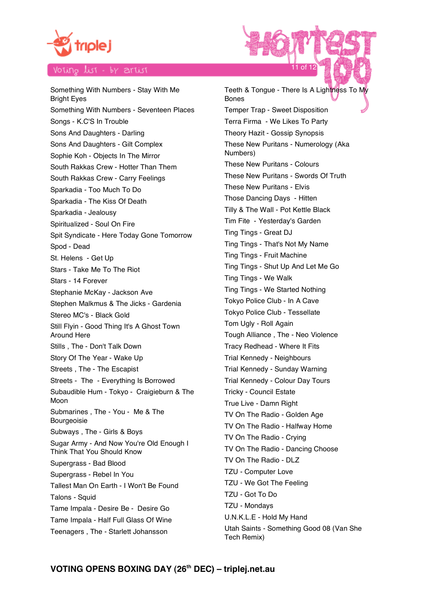

Something With Numbers - Stay With Me Bright Eyes Something With Numbers - Seventeen Places Songs - K.C'S In Trouble Sons And Daughters - Darling Sons And Daughters - Gilt Complex Sophie Koh - Objects In The Mirror South Rakkas Crew - Hotter Than Them South Rakkas Crew - Carry Feelings Sparkadia - Too Much To Do Sparkadia - The Kiss Of Death Sparkadia - Jealousy Spiritualized - Soul On Fire Spit Syndicate - Here Today Gone Tomorrow Spod - Dead St. Helens - Get Up Stars - Take Me To The Riot Stars - 14 Forever Stephanie McKay - Jackson Ave Stephen Malkmus & The Jicks - Gardenia Stereo MC's - Black Gold Still Flyin - Good Thing It's A Ghost Town Around Here Stills , The - Don't Talk Down Story Of The Year - Wake Up Streets , The - The Escapist Streets - The - Everything Is Borrowed Subaudible Hum - Tokyo - Craigieburn & The Moon Submarines , The - You - Me & The Bourgeoisie Subways , The - Girls & Boys Sugar Army - And Now You're Old Enough I Think That You Should Know Supergrass - Bad Blood Supergrass - Rebel In You Tallest Man On Earth - I Won't Be Found Talons - Squid Tame Impala - Desire Be - Desire Go Tame Impala - Half Full Glass Of Wine Teenagers , The - Starlett Johansson

Teeth & Tongue - There Is A Lightness To My Bones Temper Trap - Sweet Disposition Terra Firma - We Likes To Party Theory Hazit - Gossip Synopsis These New Puritans - Numerology (Aka Numbers) These New Puritans - Colours These New Puritans - Swords Of Truth These New Puritans - Elvis Those Dancing Days - Hitten Tilly & The Wall - Pot Kettle Black Tim Fite - Yesterday's Garden Ting Tings - Great DJ Ting Tings - That's Not My Name Ting Tings - Fruit Machine Ting Tings - Shut Up And Let Me Go Ting Tings - We Walk Ting Tings - We Started Nothing Tokyo Police Club - In A Cave Tokyo Police Club - Tessellate Tom Ugly - Roll Again Tough Alliance , The - Neo Violence Tracy Redhead - Where It Fits Trial Kennedy - Neighbours Trial Kennedy - Sunday Warning Trial Kennedy - Colour Day Tours Tricky - Council Estate True Live - Damn Right TV On The Radio - Golden Age TV On The Radio - Halfway Home TV On The Radio - Crying TV On The Radio - Dancing Choose TV On The Radio - DLZ TZU - Computer Love TZU - We Got The Feeling TZU - Got To Do TZU - Mondays U.N.K.L.E - Hold My Hand Utah Saints - Something Good 08 (Van She Tech Remix)